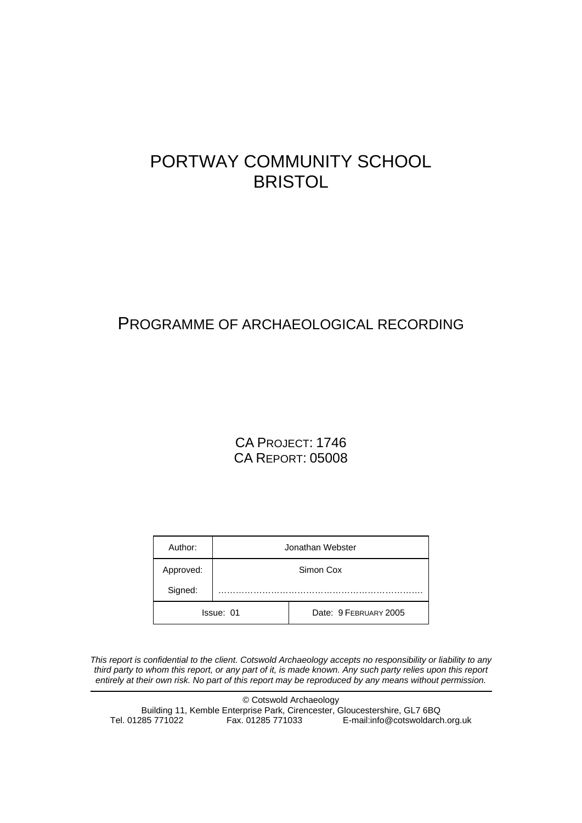# PORTWAY COMMUNITY SCHOOL **BRISTOL**

# PROGRAMME OF ARCHAEOLOGICAL RECORDING

# CA PROJECT: 1746 CA REPORT: 05008

| Author:   | Jonathan Webster |                       |  |
|-----------|------------------|-----------------------|--|
| Approved: | Simon Cox        |                       |  |
| Signed:   |                  |                       |  |
| Issue: 01 |                  | Date: 9 FEBRUARY 2005 |  |

*This report is confidential to the client. Cotswold Archaeology accepts no responsibility or liability to any third party to whom this report, or any part of it, is made known. Any such party relies upon this report entirely at their own risk. No part of this report may be reproduced by any means without permission.* 

© Cotswold Archaeology Building 11, Kemble Enterprise Park, Cirencester, Gloucestershire, GL7 6BQ Tel. 01285 771022 Fax. 01285 771033 E-mail:info@cotswoldarch.org.uk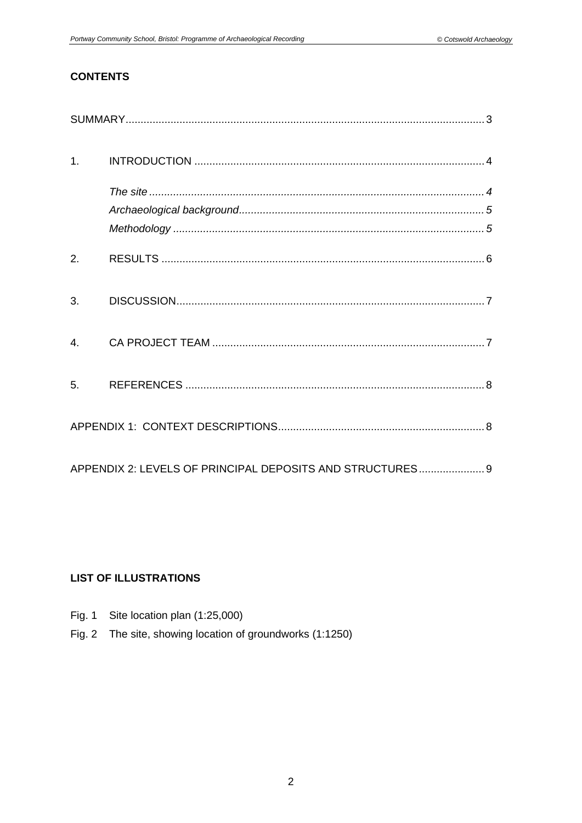# **CONTENTS**

| 1 <sub>1</sub>   |                                                           |  |
|------------------|-----------------------------------------------------------|--|
|                  |                                                           |  |
|                  |                                                           |  |
|                  |                                                           |  |
| 2.               |                                                           |  |
| 3.               |                                                           |  |
| $\overline{4}$ . |                                                           |  |
| 5.               |                                                           |  |
|                  |                                                           |  |
|                  | APPENDIX 2: LEVELS OF PRINCIPAL DEPOSITS AND STRUCTURES 9 |  |

# **LIST OF ILLUSTRATIONS**

- Fig. 1 Site location plan (1:25,000)
- Fig. 2 The site, showing location of groundworks (1:1250)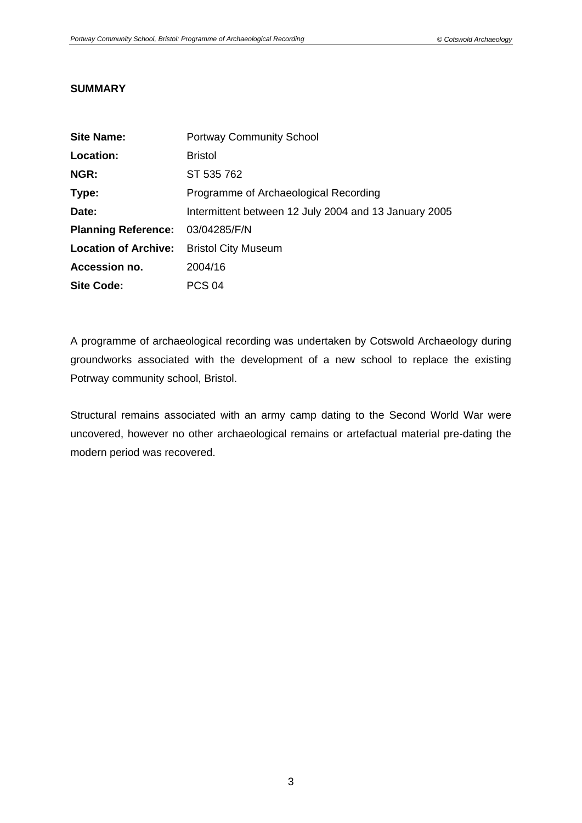# **SUMMARY**

| <b>Site Name:</b>           | <b>Portway Community School</b>                       |
|-----------------------------|-------------------------------------------------------|
| Location:                   | <b>Bristol</b>                                        |
| NGR:                        | ST 535 762                                            |
| Type:                       | Programme of Archaeological Recording                 |
| Date:                       | Intermittent between 12 July 2004 and 13 January 2005 |
| <b>Planning Reference:</b>  | 03/04285/F/N                                          |
| <b>Location of Archive:</b> | <b>Bristol City Museum</b>                            |
| Accession no.               | 2004/16                                               |
| <b>Site Code:</b>           | <b>PCS 04</b>                                         |

A programme of archaeological recording was undertaken by Cotswold Archaeology during groundworks associated with the development of a new school to replace the existing Potrway community school, Bristol.

Structural remains associated with an army camp dating to the Second World War were uncovered, however no other archaeological remains or artefactual material pre-dating the modern period was recovered.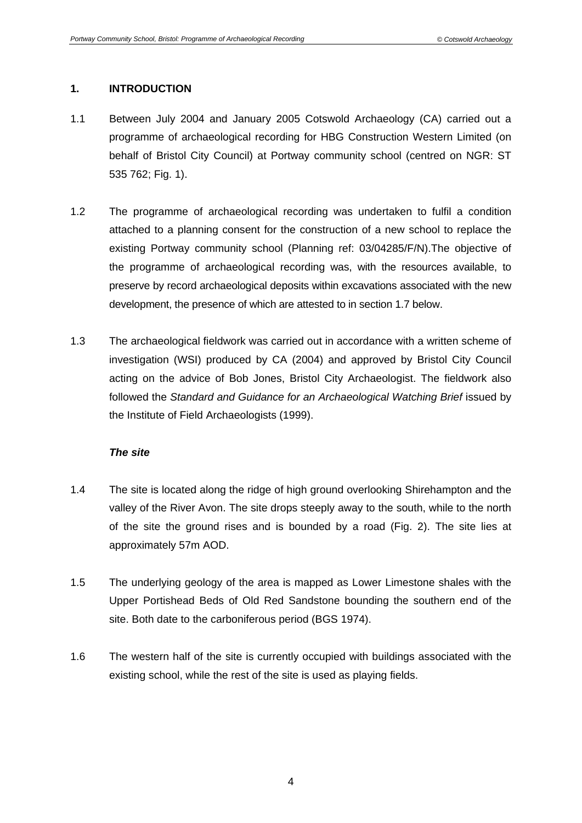# **1. INTRODUCTION**

- 1.1 Between July 2004 and January 2005 Cotswold Archaeology (CA) carried out a programme of archaeological recording for HBG Construction Western Limited (on behalf of Bristol City Council) at Portway community school (centred on NGR: ST 535 762; Fig. 1).
- 1.2 The programme of archaeological recording was undertaken to fulfil a condition attached to a planning consent for the construction of a new school to replace the existing Portway community school (Planning ref: 03/04285/F/N).The objective of the programme of archaeological recording was, with the resources available, to preserve by record archaeological deposits within excavations associated with the new development, the presence of which are attested to in section 1.7 below.
- 1.3 The archaeological fieldwork was carried out in accordance with a written scheme of investigation (WSI) produced by CA (2004) and approved by Bristol City Council acting on the advice of Bob Jones, Bristol City Archaeologist. The fieldwork also followed the *Standard and Guidance for an Archaeological Watching Brief* issued by the Institute of Field Archaeologists (1999).

## *The site*

- 1.4 The site is located along the ridge of high ground overlooking Shirehampton and the valley of the River Avon. The site drops steeply away to the south, while to the north of the site the ground rises and is bounded by a road (Fig. 2). The site lies at approximately 57m AOD.
- 1.5 The underlying geology of the area is mapped as Lower Limestone shales with the Upper Portishead Beds of Old Red Sandstone bounding the southern end of the site. Both date to the carboniferous period (BGS 1974).
- 1.6 The western half of the site is currently occupied with buildings associated with the existing school, while the rest of the site is used as playing fields.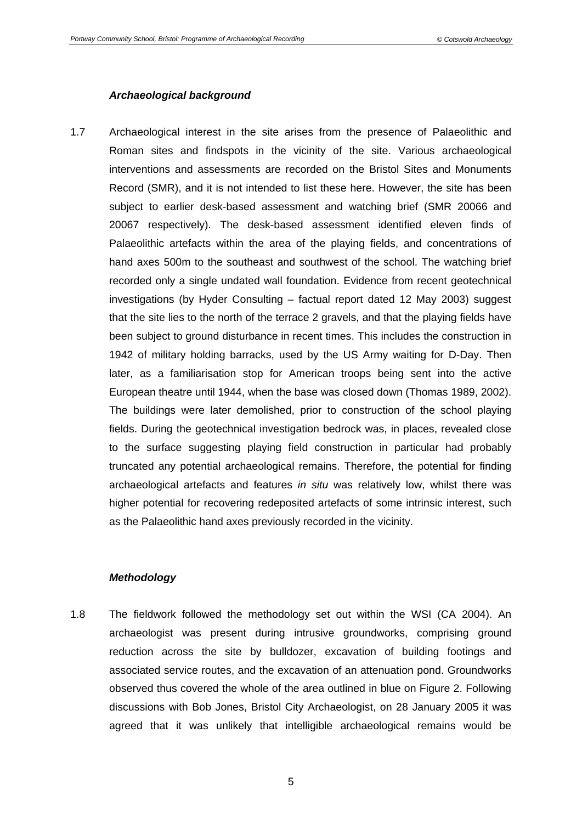#### *Archaeological background*

1.7 Archaeological interest in the site arises from the presence of Palaeolithic and Roman sites and findspots in the vicinity of the site. Various archaeological interventions and assessments are recorded on the Bristol Sites and Monuments Record (SMR), and it is not intended to list these here. However, the site has been subject to earlier desk-based assessment and watching brief (SMR 20066 and 20067 respectively). The desk-based assessment identified eleven finds of Palaeolithic artefacts within the area of the playing fields, and concentrations of hand axes 500m to the southeast and southwest of the school. The watching brief recorded only a single undated wall foundation. Evidence from recent geotechnical investigations (by Hyder Consulting – factual report dated 12 May 2003) suggest that the site lies to the north of the terrace 2 gravels, and that the playing fields have been subject to ground disturbance in recent times. This includes the construction in 1942 of military holding barracks, used by the US Army waiting for D-Day. Then later, as a familiarisation stop for American troops being sent into the active European theatre until 1944, when the base was closed down (Thomas 1989, 2002). The buildings were later demolished, prior to construction of the school playing fields. During the geotechnical investigation bedrock was, in places, revealed close to the surface suggesting playing field construction in particular had probably truncated any potential archaeological remains. Therefore, the potential for finding archaeological artefacts and features *in situ* was relatively low, whilst there was higher potential for recovering redeposited artefacts of some intrinsic interest, such as the Palaeolithic hand axes previously recorded in the vicinity.

## *Methodology*

1.8 The fieldwork followed the methodology set out within the WSI (CA 2004). An archaeologist was present during intrusive groundworks, comprising ground reduction across the site by bulldozer, excavation of building footings and associated service routes, and the excavation of an attenuation pond. Groundworks observed thus covered the whole of the area outlined in blue on Figure 2. Following discussions with Bob Jones, Bristol City Archaeologist, on 28 January 2005 it was agreed that it was unlikely that intelligible archaeological remains would be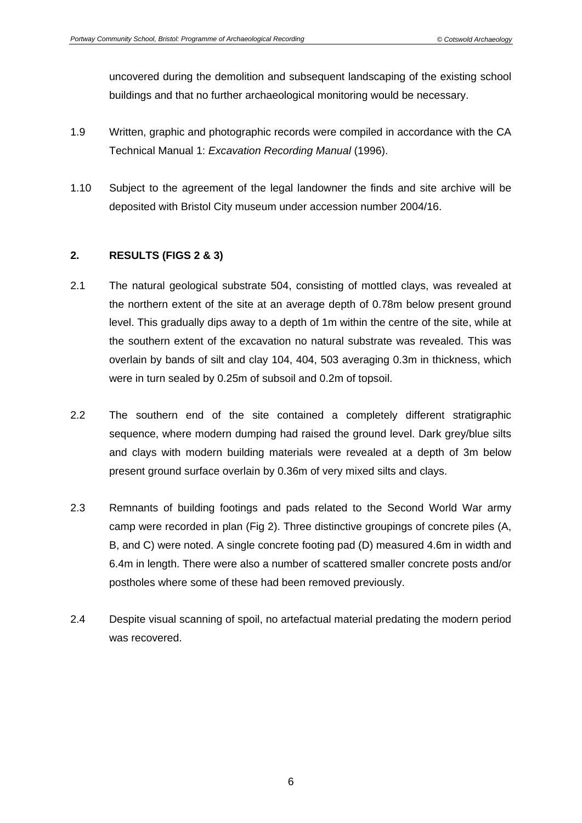uncovered during the demolition and subsequent landscaping of the existing school buildings and that no further archaeological monitoring would be necessary.

- 1.9 Written, graphic and photographic records were compiled in accordance with the CA Technical Manual 1: *Excavation Recording Manual* (1996).
- 1.10 Subject to the agreement of the legal landowner the finds and site archive will be deposited with Bristol City museum under accession number 2004/16.

# **2. RESULTS (FIGS 2 & 3)**

- 2.1 The natural geological substrate 504, consisting of mottled clays, was revealed at the northern extent of the site at an average depth of 0.78m below present ground level. This gradually dips away to a depth of 1m within the centre of the site, while at the southern extent of the excavation no natural substrate was revealed. This was overlain by bands of silt and clay 104, 404, 503 averaging 0.3m in thickness, which were in turn sealed by 0.25m of subsoil and 0.2m of topsoil.
- 2.2 The southern end of the site contained a completely different stratigraphic sequence, where modern dumping had raised the ground level. Dark grey/blue silts and clays with modern building materials were revealed at a depth of 3m below present ground surface overlain by 0.36m of very mixed silts and clays.
- 2.3 Remnants of building footings and pads related to the Second World War army camp were recorded in plan (Fig 2). Three distinctive groupings of concrete piles (A, B, and C) were noted. A single concrete footing pad (D) measured 4.6m in width and 6.4m in length. There were also a number of scattered smaller concrete posts and/or postholes where some of these had been removed previously.
- 2.4 Despite visual scanning of spoil, no artefactual material predating the modern period was recovered.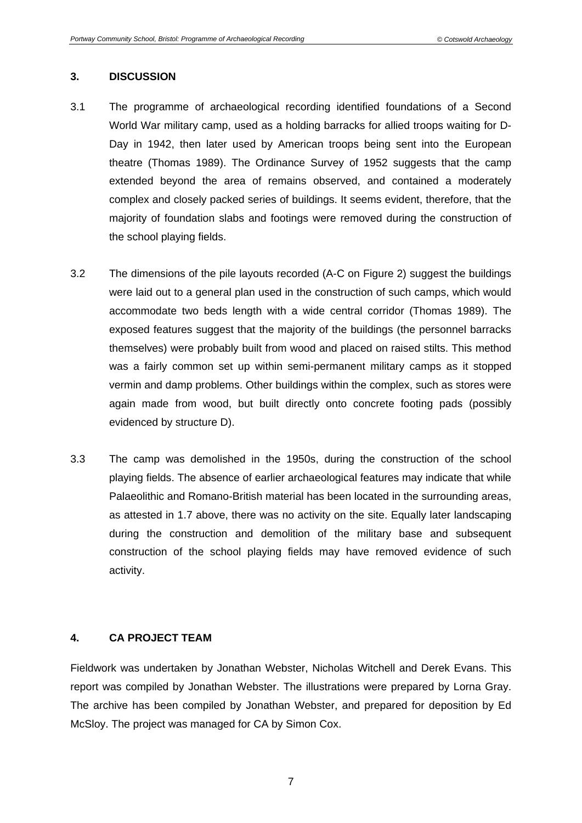## **3. DISCUSSION**

- 3.1 The programme of archaeological recording identified foundations of a Second World War military camp, used as a holding barracks for allied troops waiting for D-Day in 1942, then later used by American troops being sent into the European theatre (Thomas 1989). The Ordinance Survey of 1952 suggests that the camp extended beyond the area of remains observed, and contained a moderately complex and closely packed series of buildings. It seems evident, therefore, that the majority of foundation slabs and footings were removed during the construction of the school playing fields.
- 3.2 The dimensions of the pile layouts recorded (A-C on Figure 2) suggest the buildings were laid out to a general plan used in the construction of such camps, which would accommodate two beds length with a wide central corridor (Thomas 1989). The exposed features suggest that the majority of the buildings (the personnel barracks themselves) were probably built from wood and placed on raised stilts. This method was a fairly common set up within semi-permanent military camps as it stopped vermin and damp problems. Other buildings within the complex, such as stores were again made from wood, but built directly onto concrete footing pads (possibly evidenced by structure D).
- 3.3 The camp was demolished in the 1950s, during the construction of the school playing fields. The absence of earlier archaeological features may indicate that while Palaeolithic and Romano-British material has been located in the surrounding areas, as attested in 1.7 above, there was no activity on the site. Equally later landscaping during the construction and demolition of the military base and subsequent construction of the school playing fields may have removed evidence of such activity.

# **4. CA PROJECT TEAM**

Fieldwork was undertaken by Jonathan Webster, Nicholas Witchell and Derek Evans. This report was compiled by Jonathan Webster. The illustrations were prepared by Lorna Gray. The archive has been compiled by Jonathan Webster, and prepared for deposition by Ed McSloy. The project was managed for CA by Simon Cox.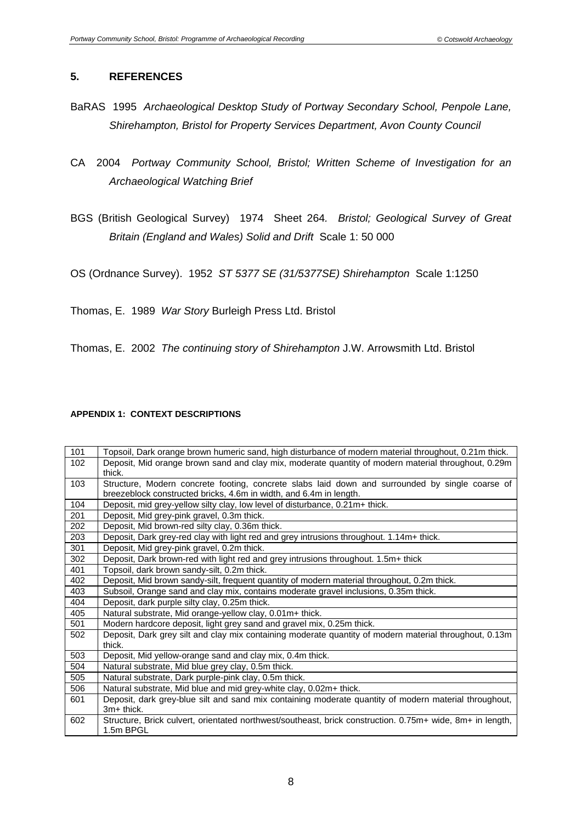# **5. REFERENCES**

- BaRAS 1995 *Archaeological Desktop Study of Portway Secondary School, Penpole Lane, Shirehampton, Bristol for Property Services Department, Avon County Council*
- CA 2004 *Portway Community School, Bristol; Written Scheme of Investigation for an Archaeological Watching Brief*
- BGS (British Geological Survey) 1974 Sheet 264*. Bristol; Geological Survey of Great Britain (England and Wales) Solid and Drift* Scale 1: 50 000

OS (Ordnance Survey). 1952 *ST 5377 SE (31/5377SE) Shirehampton* Scale 1:1250

Thomas, E. 1989 *War Story* Burleigh Press Ltd. Bristol

Thomas, E. 2002 *The continuing story of Shirehampton* J.W. Arrowsmith Ltd. Bristol

## **APPENDIX 1: CONTEXT DESCRIPTIONS**

| 101 | Topsoil, Dark orange brown humeric sand, high disturbance of modern material throughout, 0.21m thick.     |  |  |
|-----|-----------------------------------------------------------------------------------------------------------|--|--|
| 102 | Deposit, Mid orange brown sand and clay mix, moderate quantity of modern material throughout, 0.29m       |  |  |
|     | thick.                                                                                                    |  |  |
| 103 | Structure, Modern concrete footing, concrete slabs laid down and surrounded by single coarse of           |  |  |
|     | breezeblock constructed bricks, 4.6m in width, and 6.4m in length.                                        |  |  |
| 104 | Deposit, mid grey-yellow silty clay, low level of disturbance, 0.21m+ thick.                              |  |  |
| 201 | Deposit, Mid grey-pink gravel, 0.3m thick.                                                                |  |  |
| 202 | Deposit, Mid brown-red silty clay, 0.36m thick.                                                           |  |  |
| 203 | Deposit, Dark grey-red clay with light red and grey intrusions throughout. 1.14m+ thick.                  |  |  |
| 301 | Deposit, Mid grey-pink gravel, 0.2m thick.                                                                |  |  |
| 302 | Deposit, Dark brown-red with light red and grey intrusions throughout. 1.5m+ thick                        |  |  |
| 401 | Topsoil, dark brown sandy-silt, 0.2m thick.                                                               |  |  |
| 402 | Deposit, Mid brown sandy-silt, frequent quantity of modern material throughout, 0.2m thick.               |  |  |
| 403 | Subsoil, Orange sand and clay mix, contains moderate gravel inclusions, 0.35m thick.                      |  |  |
| 404 | Deposit, dark purple silty clay, 0.25m thick.                                                             |  |  |
| 405 | Natural substrate, Mid orange-yellow clay, 0.01m+ thick.                                                  |  |  |
| 501 | Modern hardcore deposit, light grey sand and gravel mix, 0.25m thick.                                     |  |  |
| 502 | Deposit, Dark grey silt and clay mix containing moderate quantity of modern material throughout, 0.13m    |  |  |
|     | thick.                                                                                                    |  |  |
| 503 | Deposit, Mid yellow-orange sand and clay mix, 0.4m thick.                                                 |  |  |
| 504 | Natural substrate, Mid blue grey clay, 0.5m thick.                                                        |  |  |
| 505 | Natural substrate, Dark purple-pink clay, 0.5m thick.                                                     |  |  |
| 506 | Natural substrate, Mid blue and mid grey-white clay, 0.02m+ thick.                                        |  |  |
| 601 | Deposit, dark grey-blue silt and sand mix containing moderate quantity of modern material throughout,     |  |  |
|     | 3m+ thick.                                                                                                |  |  |
| 602 | Structure, Brick culvert, orientated northwest/southeast, brick construction. 0.75m+ wide, 8m+ in length, |  |  |
|     | 1.5m BPGL                                                                                                 |  |  |